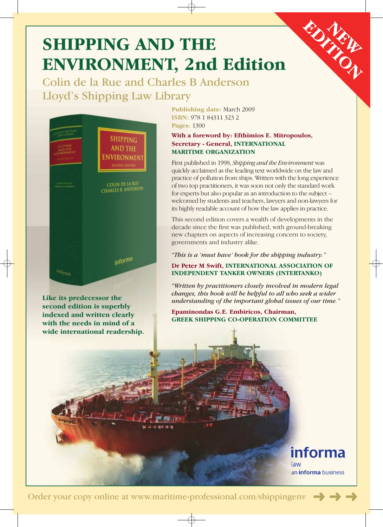# **SHIPPING AND THE ENVIRONMENT, 2nd Edition**

Colin de la Rue and Charles B Anderson Lloyd's Shipping Law Library



**Like its predecessor the second edition is superbly indexed and written clearly with the needs in mind of a wide international readership.**  **Publishing date:** March 2009 **ISBN:** 978 1 84311 323 2 **Pages:** 1300

## **With a foreword by: Efthimios E. Mitropoulos, Secretary - General, INTERNATIONAL MARITIME ORGANIZATION**

First published in 1998, *Shipping and the Environment* was quickly acclaimed as the leading text worldwide on the law and practice of pollution from ships. Written with the long experience of two top practitioners, it was soon not only the standard work for experts but also popular as an introduction to the subject – welcomed by students and teachers, lawyers and non-lawyers for its highly readable account of how the law applies in practice.

This second edition covers a wealth of developments in the decade since the first was published, with ground-breaking new chapters on aspects of increasing concern to society, governments and industry alike.

*"This is a 'must have' book for the shipping industry."* 

### **Dr Peter M Swift, INTERNATIONAL ASSOCIATION OF INDEPENDENT TANKER OWNERS (INTERTANKO)**

*"Written by practitioners closely involved in modern legal changes, this book will be helpful to all who seek a wider understanding of the important global issues of our time."* 

**Epaminondas G.E. Embiricos, Chairman, GREEK SHIPPING CO-OPERATION COMMITTEE** 



**EDITION**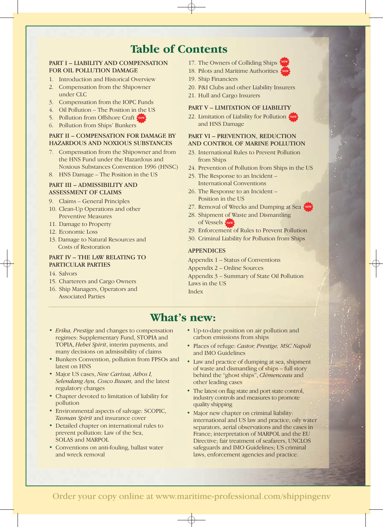# **Table of Contents**

#### PART I – LIABILITY AND COMPENSATION FOR OIL POLLUTION DAMAGE

- 1. Introduction and Historical Overview
- 2. Compensation from the Shipowner under CLC
- 3. Compensation from the IOPC Funds
- 4. Oil Pollution The Position in the US
- 5. Pollution from Offshore Craft **NEW**
- 6. Pollution from Ships' Bunkers

#### PART II – COMPENSATION FOR DAMAGE BY HAZARDOUS AND NOXIOUS SUBSTANCES

- 7. Compensation from the Shipowner and from the HNS Fund under the Hazardous and Noxious Substances Convention 1996 (HNSC)
- 8. HNS Damage The Position in the US

#### PART III – ADMISSIBILITY AND ASSESSMENT OF CLAIMS

- 9. Claims General Principles
- 10. Clean-Up Operations and other Preventive Measures
- 11. Damage to Property
- 12. Economic Loss
- 13. Damage to Natural Resources and Costs of Restoration

#### PART IV – THE LAW RELATING TO PARTICULAR PARTIES

- 14. Salvors
- 15. Charterers and Cargo Owners
- 16. Ship Managers, Operators and Associated Parties

17. The Owners of Colliding Ships



- 19. Ship Financiers
- 20. P&I Clubs and other Liability Insurers
- 21. Hull and Cargo Insurers

#### PART V – LIMITATION OF LIABILITY

22. Limitation of Liability for Pollution **NEW** and HNS Damage

#### PART VI – PREVENTION, REDUCTION AND CONTROL OF MARINE POLLUTION

- 23. International Rules to Prevent Pollution from Ships
- 24. Prevention of Pollution from Ships in the US
- 25. The Response to an Incident International Conventions
- 26. The Response to an Incident Position in the US
- 27. Removal of Wrecks and Dumping at Sea
- 28. Shipment of Waste and Dismantling of Vessels **NEW**
- 29. Enforcement of Rules to Prevent Pollution
- 30. Criminal Liability for Pollution from Ships

#### APPENDICES

Appendix 1 – Status of Conventions Appendix 2 – Online Sources Appendix 3 – Summary of State Oil Pollution Laws in the US Index

## **What's new:**

- • *Erika, Prestige* and changes to compensation regimes: Supplementary Fund, STOPIA and TOPIA, *Hebei Spirit*, interim payments, and many decisions on admissibility of claims
- • Bunkers Convention, pollution from FPSOs and latest on HNS
- • Major US cases, *New Carissa, Athos I, Selendang Ayu, Cosco Busan,* and the latest regulatory changes
- • Chapter devoted to limitation of liability for pollution
- Environmental aspects of salvage: SCOPIC, *Tasman Spirit* and insurance cover
- Detailed chapter on international rules to prevent pollution: Law of the Sea, SOLAS and MARPOL
- • Conventions on anti-fouling, ballast water and wreck removal
- Up-to-date position on air pollution and carbon emissions from ships
- • Places of refuge: *Castor, Prestige, MSC Napoli*  and IMO Guidelines
- Law and practice of dumping at sea, shipment of waste and dismantling of ships – full story behind the "ghost ships", *Clémenceau* and other leading cases
- The latest on flag state and port state control, industry controls and measures to promote quality shipping
- Major new chapter on criminal liability: international and US law and practice; oily water separators, aerial observations and the cases in France; interpretation of MARPOL and the EU Directive; fair treatment of seafarers, UNCLOS safeguards and IMO Guidelines; US criminal laws, enforcement agencies and practice.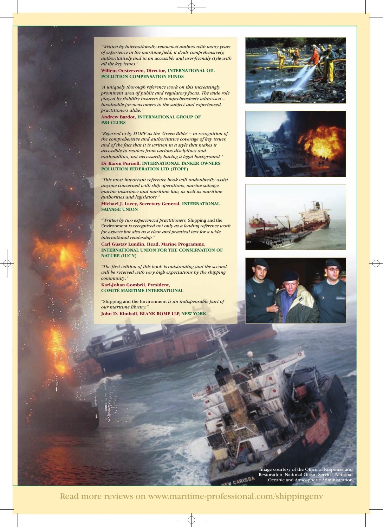*"Written by internationally-renowned authors with many years of experience in the maritime field, it deals comprehensively, authoritatively and in an accessible and user-friendly style with all the key issues."* 

**Willem Oosterveen, Director, INTERNATIONAL OIL POLLUTION COMPENSATION FUNDS** 

*"A uniquely thorough reference work on this increasingly prominent area of public and regulatory focus. The wide role played by liability insurers is comprehensively addressed – invaluable for newcomers to the subject and experienced practitioners alike."* 

**Andrew Bardot, INTERNATIONAL GROUP OF P&I CLUBS** 

*"Referred to by ITOPF as the 'Green Bible' – in recognition of the comprehensive and authoritative coverage of key issues, and of the fact that it is written in a style that makes it accessible to readers from various disciplines and nationalities, not necessarily having a legal background."*  **Dr Karen Purnell, INTERNATIONAL TANKER OWNERS POLLUTION FEDERATION LTD (ITOPF)** 

*"This most important reference book will undoubtedly assist anyone concerned with ship operations, marine salvage, marine insurance and maritime law, as well as maritime authorities and legislators."* 

**Michael J. Lacey, Secretary General, INTERNATIONAL SALVAGE UNION** 

*"Written by two experienced practitioners,* Shipping and the Environment *is recognized not only as a leading reference work for experts but also as a clear and practical text for a wide international readership."* 

**Carl Gustav Lundin, Head, Marine Programme, INTERNATIONAL UNION FOR THE CONSERVATION OF NATURE (IUCN)** 

*"The first edition of this book is outstanding and the second will be received with very high expectations by the shipping community."* 

**Karl-Johan Gombrii, President, COMITÉ MARITIME INTERNATIONAL** 

*"*Shipping and the Environment *is an indispensable part of our maritime library."* 

**John D. Kimball, BLANK ROME LLP, NEW YORK** 









Image courtesy of the Office of Response and Restoration, National Ocean Service, National Oceanic and Atmospheric Administration

CARISSA